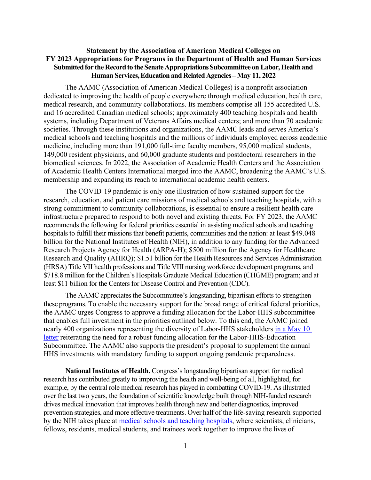## **Statement by the Association of American Medical Colleges on FY 2023 Appropriations for Programs in the Department of Health and Human Services Submitted for the Record to the Senate Appropriations Subcommittee on Labor, Health and Human Services,EducationandRelatedAgencies– May 11, 2022**

The AAMC (Association of American Medical Colleges) is a nonprofit association dedicated to improving the health of people everywhere through medical education, health care, medical research, and community collaborations. Its members comprise all 155 accredited U.S. and 16 accredited Canadian medical schools; approximately 400 teaching hospitals and health systems, including Department of Veterans Affairs medical centers; and more than 70 academic societies. Through these institutions and organizations, the AAMC leads and serves America's medical schools and teaching hospitals and the millions of individuals employed across academic medicine, including more than 191,000 full-time faculty members, 95,000 medical students, 149,000 resident physicians, and 60,000 graduate students and postdoctoral researchers in the biomedical sciences. In 2022, the Association of Academic Health Centers and the Association of Academic Health Centers International merged into the AAMC, broadening the AAMC's U.S. membership and expanding its reach to international academic health centers.

The COVID-19 pandemic is only one illustration of how sustained support for the research, education, and patient care missions of medical schools and teaching hospitals, with a strong commitment to community collaborations, is essential to ensure a resilient health care infrastructure prepared to respond to both novel and existing threats. For FY 2023, the AAMC recommends the following for federal priorities essential in assisting medical schools and teaching hospitals to fulfill their missions that benefit patients, communities and the nation: at least \$49.048 billion for the National Institutes of Health (NIH), in addition to any funding for the Advanced Research Projects Agency for Health (ARPA-H); \$500 million for the Agency for Healthcare Research and Quality (AHRQ); \$1.51 billion for the Health Resources and Services Administration (HRSA) Title VII health professions and Title VIII nursing workforce development programs, and \$718.8 million for the Children's Hospitals Graduate Medical Education (CHGME) program; and at least \$11 billion for the Centers for Disease Control and Prevention (CDC).

The AAMC appreciates the Subcommittee's longstanding, bipartisan efforts to strengthen these programs. To enable the necessary support for the broad range of critical federal priorities, the AAMC urges Congress to approve a funding allocation for the Labor-HHS subcommittee that enables full investment in the priorities outlined below. To this end, the AAMC joined nearly 400 organizations representing the diversity of Labor-HHS stakeholders [in a May 10](https://www.aamc.org/media/60611/download) [letter](https://www.aamc.org/media/60611/download) reiterating the need for a robust funding allocation for the Labor-HHS-Education Subcommittee. The AAMC also supports the president's proposal to supplement the annual HHS investments with mandatory funding to support ongoing pandemic preparedness.

**National Institutes of Health.** Congress's longstanding bipartisan support for medical research has contributed greatly to improving the health and well-being of all, highlighted, for example, by the central role medical research has played in combatting COVID-19. As illustrated over the last two years, the foundation of scientific knowledge built through NIH-funded research drives medical innovation that improves health through new and better diagnostics, improved prevention strategies, and more effective treatments. Over half of the life-saving research supported by the NIH takes place at [medical schools and teaching hospitals,](https://www.aamc.org/system/files/d/1/1565593933-nih_-_final_value_of_nih-funded_research_infographic_-_20190502.pdf) where scientists, clinicians, fellows, residents, medical students, and trainees work together to improve the lives of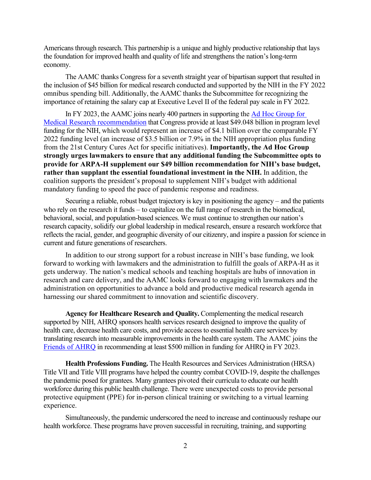Americans through research. This partnership is a unique and highly productive relationship that lays the foundation for improved health and quality of life and strengthens the nation's long-term economy.

The AAMC thanks Congress for a seventh straight year of bipartisan support that resulted in the inclusion of \$45 billion for medical research conducted and supported by the NIH in the FY 2022 omnibus spending bill. Additionally, the AAMC thanks the Subcommittee for recognizing the importance of retaining the salary cap at Executive Level II of the federal pay scale in FY 2022.

In FY 2023, the AAMC joins nearly 400 partners in supporting the [Ad Hoc Group for](https://www.aamc.org/research/adhocgp/FY23Recommendation.pdf)  [Medical Research recommendation](https://www.aamc.org/research/adhocgp/FY23Recommendation.pdf) that Congress provide at least \$49.048 billion in program level funding for the NIH, which would represent an increase of \$4.1 billion over the comparable FY 2022 funding level (an increase of \$3.5 billion or 7.9% in the NIH appropriation plus funding from the 21st Century Cures Act for specific initiatives). **Importantly, the Ad Hoc Group strongly urges lawmakers to ensure that any additional funding the Subcommittee opts to provide for ARPA-H supplement our \$49 billion recommendation for NIH's base budget, rather than supplant the essential foundational investment in the NIH.** In addition, the coalition supports the president's proposal to supplement NIH's budget with additional mandatory funding to speed the pace of pandemic response and readiness.

Securing a reliable, robust budget trajectory is key in positioning the agency – and the patients who rely on the research it funds – to capitalize on the full range of research in the biomedical, behavioral, social, and population-based sciences. We must continue to strengthen our nation's research capacity, solidify our global leadership in medical research, ensure a research workforce that reflects the racial, gender, and geographic diversity of our citizenry, and inspire a passion for science in current and future generations of researchers.

In addition to our strong support for a robust increase in NIH's base funding, we look forward to working with lawmakers and the administration to fulfill the goals of ARPA-H as it gets underway. The nation's medical schools and teaching hospitals are hubs of innovation in research and care delivery, and the AAMC looks forward to engaging with lawmakers and the administration on opportunities to advance a bold and productive medical research agenda in harnessing our shared commitment to innovation and scientific discovery.

**Agency for Healthcare Research and Quality.** Complementing the medical research supported by NIH, AHRQ sponsors health services research designed to improve the quality of health care, decrease health care costs, and provide access to essential health care services by translating research into measurable improvements in the health care system. The AAMC joins the [Friends of AHRQ](https://www.aamc.org/media/60046/download) in recommending at least \$500 million in funding for AHRQ in FY 2023.

**Health Professions Funding.** The Health Resources and Services Administration (HRSA) Title VII and Title VIII programs have helped the country combat COVID-19, despite the challenges the pandemic posed for grantees. Many grantees pivoted their curricula to educate our health workforce during this public health challenge. There were unexpected costs to provide personal protective equipment (PPE) for in-person clinical training or switching to a virtual learning experience.

Simultaneously, the pandemic underscored the need to increase and continuously reshape our health workforce. These programs have proven successful in recruiting, training, and supporting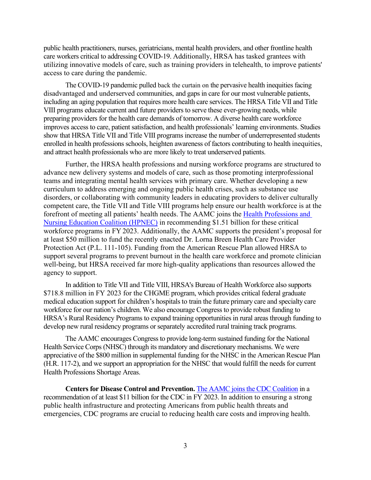public health practitioners, nurses, geriatricians, mental health providers, and other frontline health care workers critical to addressing COVID-19. Additionally, HRSA has tasked grantees with utilizing innovative models of care, such as training providers in telehealth, to improve patients' access to care during the pandemic.

The COVID-19 pandemic pulled back the curtain on the pervasive health inequities facing disadvantaged and underserved communities, and gaps in care for our most vulnerable patients, including an aging population that requires more health care services. The HRSA Title VII and Title VIII programs educate current and future providers to serve these ever-growing needs, while preparing providers for the health care demands of tomorrow. A diverse health care workforce improves access to care, patient satisfaction, and health professionals' learning environments. Studies show that HRSA Title VII and Title VIII programs increase the number of underrepresented students enrolled in health professions schools, heighten awareness of factors contributing to health inequities, and attract health professionals who are more likely to treat underserved patients.

Further, the HRSA health professions and nursing workforce programs are structured to advance new delivery systems and models of care, such as those promoting interprofessional teams and integrating mental health services with primary care. Whether developing a new curriculum to address emerging and ongoing public health crises, such as substance use disorders, or collaborating with community leaders in educating providers to deliver culturally competent care, the Title VII and Title VIII programs help ensure our health workforce is at the forefront of meeting all patients' health needs. The AAMC joins the [Health Professions and](https://www.hpnec.org/media/3046/download?attachment)  [Nursing Education Coalition \(HPNEC\)](https://www.hpnec.org/media/3046/download?attachment) in recommending \$1.51 billion for these critical workforce programs in FY 2023. Additionally, the AAMC supports the president's proposal for at least \$50 million to fund the recently enacted Dr. Lorna Breen Health Care Provider Protection Act (P.L. 111-105). Funding from the American Rescue Plan allowed HRSA to support several programs to prevent burnout in the health care workforce and promote clinician well-being, but HRSA received far more high-quality applications than resources allowed the agency to support.

In addition to Title VII and Title VIII, HRSA's Bureau of Health Workforce also supports \$718.8 million in FY 2023 for the CHGME program, which provides critical federal graduate medical education support for children's hospitals to train the future primary care and specialty care workforce for our nation's children. We also encourage Congress to provide robust funding to HRSA's Rural Residency Programs to expand training opportunities in rural areas through funding to develop new rural residency programs or separately accredited rural training track programs.

The AAMC encourages Congress to provide long-term sustained funding for the National Health Service Corps (NHSC) through its mandatory and discretionary mechanisms. We were appreciative of the \$800 million in supplemental funding for the NHSC in the American Rescue Plan (H.R. 117-2), and we support an appropriation for the NHSC that would fulfill the needs for current Health Professions Shortage Areas.

**Centers for Disease Control and Prevention.** [The AAMC joins the CDC Coalition](https://www.aamc.org/media/60201/download) in a recommendation of at least \$11 billion for the CDC in FY 2023. In addition to ensuring a strong public health infrastructure and protecting Americans from public health threats and emergencies, CDC programs are crucial to reducing health care costs and improving health.